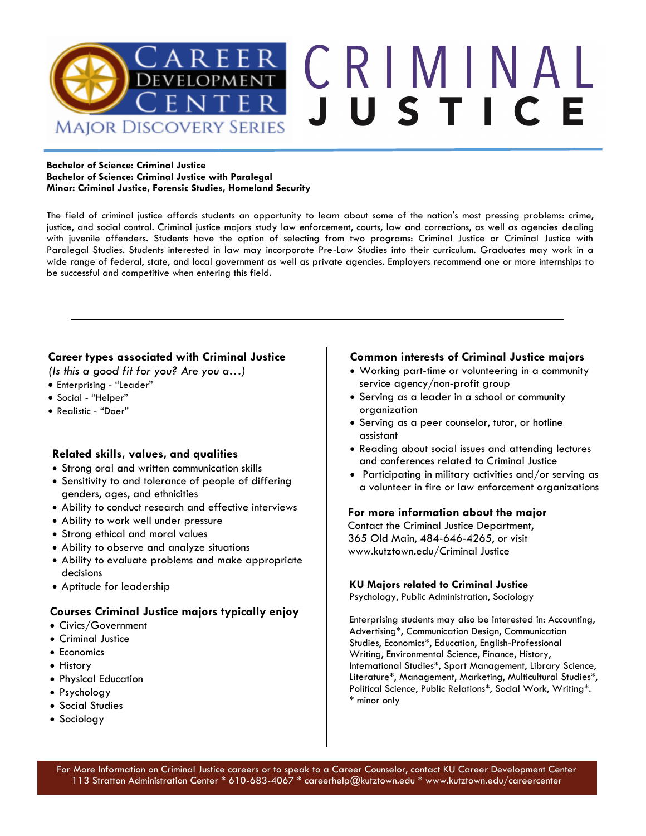

#### **Bachelor of Science: Criminal Justice Bachelor of Science: Criminal Justice with Paralegal Minor: Criminal Justice, Forensic Studies, Homeland Security**

The field of criminal justice affords students an opportunity to learn about some of the nation's most pressing problems: crime, justice, and social control. Criminal justice majors study law enforcement, courts, law and corrections, as well as agencies dealing with juvenile offenders. Students have the option of selecting from two programs: Criminal Justice or Criminal Justice with Paralegal Studies. Students interested in law may incorporate Pre-Law Studies into their curriculum. Graduates may work in a wide range of federal, state, and local government as well as private agencies. Employers recommend one or more internships to be successful and competitive when entering this field.

## **Career types associated with Criminal Justice**

*(Is this a good fit for you? Are you a…)*

- Enterprising "Leader"
- Social "Helper"
- Realistic "Doer"

### **Related skills, values, and qualities**

- Strong oral and written communication skills
- Sensitivity to and tolerance of people of differing genders, ages, and ethnicities
- Ability to conduct research and effective interviews
- Ability to work well under pressure
- Strong ethical and moral values
- Ability to observe and analyze situations
- Ability to evaluate problems and make appropriate decisions
- Aptitude for leadership

### **Courses Criminal Justice majors typically enjoy**

- Civics/Government
- Criminal Justice
- Economics
- History
- Physical Education
- Psychology
- Social Studies
- Sociology

#### **Common interests of Criminal Justice majors**

- Working part-time or volunteering in a community service agency/non-profit group
- Serving as a leader in a school or community organization
- Serving as a peer counselor, tutor, or hotline assistant
- Reading about social issues and attending lectures and conferences related to Criminal Justice
- Participating in military activities and/or serving as a volunteer in fire or law enforcement organizations

#### **For more information about the major**

Contact the Criminal Justice Department, 365 Old Main, 484-646-4265, or visit www.kutztown.edu/Criminal Justice

#### **KU Majors related to Criminal Justice**

Psychology, Public Administration, Sociology

Enterprising students may also be interested in: Accounting, Advertising\*, Communication Design, Communication Studies, Economics\*, Education, English-Professional Writing, Environmental Science, Finance, History, International Studies\*, Sport Management, Library Science, Literature\*, Management, Marketing, Multicultural Studies\*, Political Science, Public Relations\*, Social Work, Writing\*. \* minor only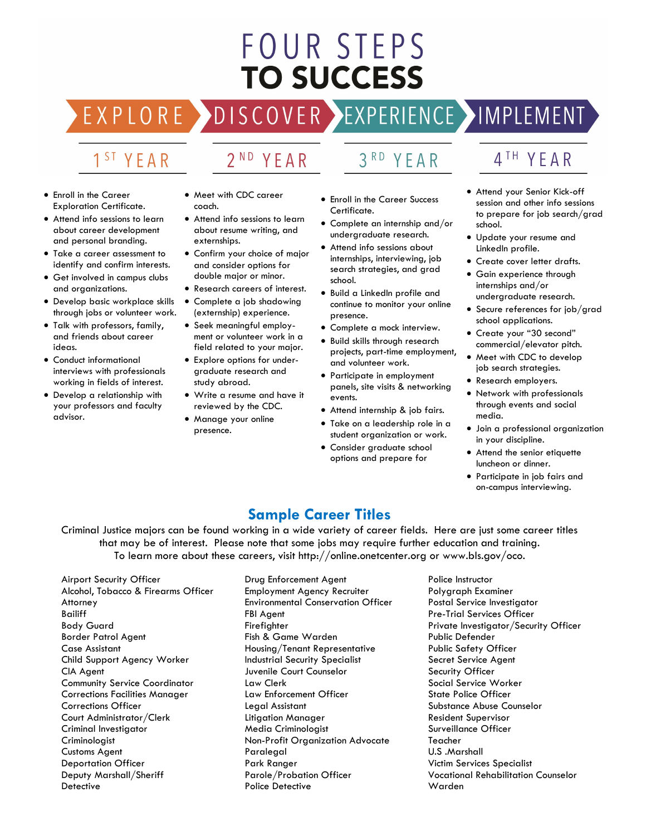# FOUR STEPS **TO SUCCESS**

DISCOVER EXPERIENCE MAPLEMENT

# 1<sup>ST</sup> YFAR

EXPLO

RE

# 2<sup>ND</sup> YEAR

#### • Enroll in the Career Exploration Certificate.

- Attend info sessions to learn about career development and personal branding.
- Take a career assessment to identify and confirm interests.
- Get involved in campus clubs and organizations.
- Develop basic workplace skills through jobs or volunteer work.
- Talk with professors, family, and friends about career ideas.
- Conduct informational interviews with professionals working in fields of interest.
- Develop a relationship with your professors and faculty advisor.
- Meet with CDC career coach.
- Attend info sessions to learn about resume writing, and externships.
- Confirm your choice of major and consider options for double major or minor.
- Research careers of interest.
- Complete a job shadowing (externship) experience.
- Seek meaningful employment or volunteer work in a field related to your major.
- Explore options for undergraduate research and study abroad.
- Write a resume and have it reviewed by the CDC.
- Manage your online presence.

• Enroll in the Career Success

YFAR

- Certificate. • Complete an internship and/or
- undergraduate research.
- Attend info sessions about internships, interviewing, job search strategies, and grad school.
- Build a LinkedIn profile and continue to monitor your online presence.
- Complete a mock interview.
- Build skills through research projects, part-time employment, and volunteer work.
- Participate in employment panels, site visits & networking events.
- Attend internship & job fairs.
- Take on a leadership role in a student organization or work.
- Consider graduate school options and prepare for

# 4TH YEAR

- Attend your Senior Kick-off session and other info sessions to prepare for job search/grad school.
- Update your resume and LinkedIn profile.
- Create cover letter drafts.
- Gain experience through internships and/or undergraduate research.
- Secure references for job/grad school applications.
- Create your "30 second" commercial/elevator pitch.
- Meet with CDC to develop job search strategies.
- Research employers.
- Network with professionals through events and social media.
- Join a professional organization in your discipline.
- Attend the senior etiquette luncheon or dinner.
- Participate in job fairs and on-campus interviewing.

# **Sample Career Titles**

Criminal Justice majors can be found working in a wide variety of career fields. Here are just some career titles that may be of interest. Please note that some jobs may require further education and training. To learn more about these careers, visit http://online.onetcenter.org or www.bls.gov/oco.

Airport Security Officer Alcohol, Tobacco & Firearms Officer Attorney Bailiff Body Guard Border Patrol Agent Case Assistant Child Support Agency Worker CIA Agent Community Service Coordinator Corrections Facilities Manager Corrections Officer Court Administrator/Clerk Criminal Investigator Criminologist Customs Agent Deportation Officer Deputy Marshall/Sheriff **Detective** 

Drug Enforcement Agent Employment Agency Recruiter Environmental Conservation Officer FBI Agent Firefighter Fish & Game Warden Housing/Tenant Representative Industrial Security Specialist Juvenile Court Counselor Law Clerk Law Enforcement Officer Legal Assistant Litigation Manager Media Criminologist Non-Profit Organization Advocate **Paralegal** Park Ranger Parole/Probation Officer Police Detective

Police Instructor Polygraph Examiner Postal Service Investigator Pre-Trial Services Officer Private Investigator/Security Officer Public Defender Public Safety Officer Secret Service Agent Security Officer Social Service Worker State Police Officer Substance Abuse Counselor Resident Supervisor Surveillance Officer Teacher U.S .Marshall Victim Services Specialist Vocational Rehabilitation Counselor Warden

# $3<sup>RD</sup>$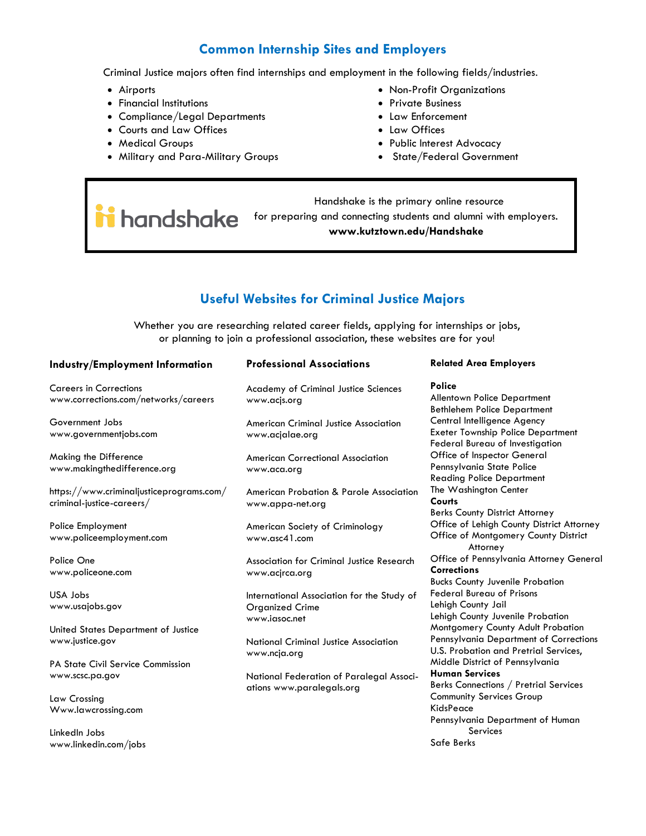# **Common Internship Sites and Employers**

Criminal Justice majors often find internships and employment in the following fields/industries.

- Airports
- Financial Institutions
- Compliance/Legal Departments
- Courts and Law Offices
- Medical Groups
- Military and Para-Military Groups
- Non-Profit Organizations
- Private Business
- Law Enforcement
- Law Offices
- Public Interest Advocacy
- State/Federal Government

 Handshake is the primary online resource i handshake for preparing and connecting students and alumni with employers. **www.kutztown.edu/Handshake**

# **Useful Websites for Criminal Justice Majors**

Whether you are researching related career fields, applying for internships or jobs, or planning to join a professional association, these websites are for you!

| Industry/Employment Information                             | <b>Professional Associations</b>                             | <b>Related Area Employers</b>                                                   |
|-------------------------------------------------------------|--------------------------------------------------------------|---------------------------------------------------------------------------------|
| <b>Careers in Corrections</b>                               | <b>Academy of Criminal Justice Sciences</b>                  | Police                                                                          |
| www.corrections.com/networks/careers                        | www.acjs.org                                                 | <b>Allentown Police Department</b><br><b>Bethlehem Police Department</b>        |
| Government Jobs                                             | American Criminal Justice Association                        | Central Intelligence Agency                                                     |
| www.governmentjobs.com                                      | www.acjalae.org                                              | <b>Exeter Township Police Department</b><br>Federal Bureau of Investigation     |
| Making the Difference                                       | <b>American Correctional Association</b>                     | Office of Inspector General                                                     |
| www.makingthedifference.org                                 | www.aca.org                                                  | Pennsylvania State Police                                                       |
|                                                             |                                                              | <b>Reading Police Department</b>                                                |
| https://www.criminaljusticeprograms.com/                    | American Probation & Parole Association                      | The Washington Center                                                           |
| criminal-justice-careers/                                   | www.appa-net.org                                             | Courts                                                                          |
|                                                             |                                                              | <b>Berks County District Attorney</b>                                           |
| Police Employment                                           | American Society of Criminology                              | Office of Lehigh County District Attorney                                       |
| www.policeemployment.com                                    | www.asc41.com                                                | Office of Montgomery County District<br>Attorney                                |
| Police One                                                  | <b>Association for Criminal Justice Research</b>             | Office of Pennsylvania Attorney General                                         |
| www.policeone.com                                           | www.acjrca.org                                               | <b>Corrections</b>                                                              |
|                                                             |                                                              | <b>Bucks County Juvenile Probation</b>                                          |
| USA Jobs                                                    | International Association for the Study of                   | <b>Federal Bureau of Prisons</b>                                                |
| www.usajobs.gov                                             | <b>Organized Crime</b>                                       | Lehigh County Jail                                                              |
|                                                             | www.iasoc.net                                                | Lehigh County Juvenile Probation                                                |
| United States Department of Justice                         |                                                              | Montgomery County Adult Probation                                               |
| www.justice.gov                                             | <b>National Criminal Justice Association</b><br>www.ncja.org | Pennsylvania Department of Corrections<br>U.S. Probation and Pretrial Services, |
| <b>PA State Civil Service Commission</b>                    |                                                              | Middle District of Pennsylvania                                                 |
| National Federation of Paralegal Associ-<br>www.scsc.pa.gov | <b>Human Services</b>                                        |                                                                                 |
|                                                             | ations www.paralegals.org                                    | Berks Connections / Pretrial Services                                           |
| Law Crossing                                                |                                                              | <b>Community Services Group</b>                                                 |
| Www.lawcrossing.com                                         |                                                              | KidsPeace                                                                       |
|                                                             |                                                              | Pennsylvania Department of Human                                                |
| LinkedIn Jobs                                               |                                                              | Services                                                                        |
| www.linkedin.com/jobs                                       |                                                              | Safe Berks                                                                      |